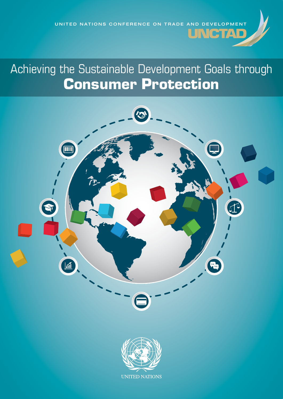

# **Consumer Protection**



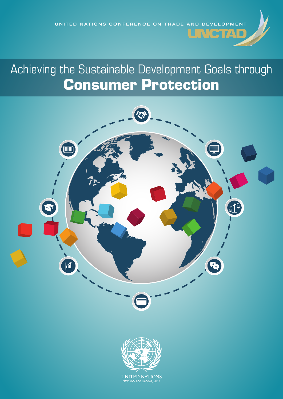UNITED NATIONS CONFERENCE ON TRADE AND DEVELOPMENT

## Achieving the Sustainable Development Goals through Consumer Protection



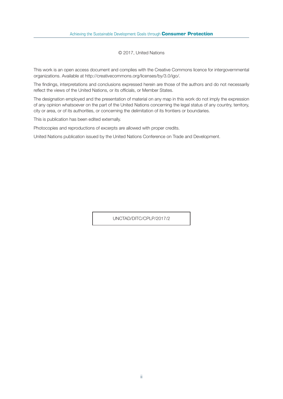© 2017, United Nations

This work is an open access document and complies with the Creative Commons licence for intergovernmental organizations. Available at http://creativecommons.org/licenses/by/3.0/igo/.

The findings, interpretations and conclusions expressed herein are those of the authors and do not necessarily reflect the views of the United Nations, or its officials, or Member States.

The designation employed and the presentation of material on any map in this work do not imply the expression of any opinion whatsoever on the part of the United Nations concerning the legal status of any country, territory, city or area, or of its authorities, or concerning the delimitation of its frontiers or boundaries.

This is publication has been edited externally.

Photocopies and reproductions of excerpts are allowed with proper credits.

United Nations publication issued by the United Nations Conference on Trade and Development.

UNCTAD/DITC/CPLP/2017/2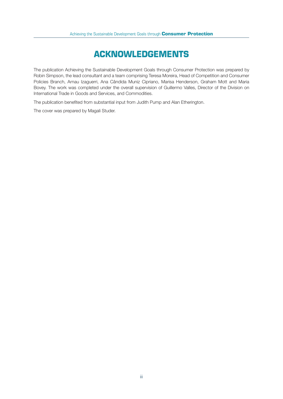## **ACKNOWLEDGEMENTS**

The publication Achieving the Sustainable Development Goals through Consumer Protection was prepared by Robin Simpson, the lead consultant and a team comprising Teresa Moreira, Head of Competition and Consumer Policies Branch, Arnau Izaguerri, Ana Cândida Muniz Cipriano, Marisa Henderson, Graham Mott and Maria Bovey. The work was completed under the overall supervision of Guillermo Valles, Director of the Division on International Trade in Goods and Services, and Commodities.

The publication benefited from substantial input from Judith Pump and Alan Etherington.

The cover was prepared by Magali Studer.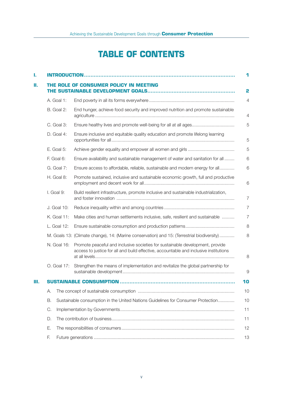## **TABLE OF CONTENTS**

| ı. |                                                                                        |                                                                                                                                                                        | 1              |
|----|----------------------------------------------------------------------------------------|------------------------------------------------------------------------------------------------------------------------------------------------------------------------|----------------|
| н. |                                                                                        | <b>IE ROLE OF CONSUMER POLICY IN MEETING</b>                                                                                                                           | 2              |
|    | A. Goal 1:                                                                             |                                                                                                                                                                        | 4              |
|    | B. Goal 2:                                                                             | End hunger, achieve food security and improved nutrition and promote sustainable                                                                                       | 4              |
|    | C. Goal 3:                                                                             |                                                                                                                                                                        | 5              |
|    | D. Goal 4:                                                                             | Ensure inclusive and equitable quality education and promote lifelong learning                                                                                         | 5              |
|    | $E.$ Goal 5:                                                                           |                                                                                                                                                                        | 5              |
|    | F. Goal 6:                                                                             | Ensure availability and sustainable management of water and sanitation for all                                                                                         | 6              |
|    | G. Goal 7:                                                                             | Ensure access to affordable, reliable, sustainable and modern energy for all                                                                                           | 6              |
|    | H. Goal 8:                                                                             | Promote sustained, inclusive and sustainable economic growth, full and productive                                                                                      | 6              |
|    | I. Goal 9:                                                                             | Build resilient infrastructure, promote inclusive and sustainable industrialization,                                                                                   | 7              |
|    | J. Goal 10:                                                                            |                                                                                                                                                                        | 7              |
|    | K. Goal 11:                                                                            | Make cities and human settlements inclusive, safe, resilient and sustainable                                                                                           | $\overline{7}$ |
|    | L. Goal 12:                                                                            |                                                                                                                                                                        | 8              |
|    |                                                                                        | M. Goals 13: (Climate change), 14: (Marine conservation) and 15: (Terrestrial biodiversity)                                                                            | 8              |
|    | N. Goal 16:                                                                            | Promote peaceful and inclusive societies for sustainable development, provide<br>access to justice for all and build effective, accountable and inclusive institutions | 8              |
|    | O. Goal 17:                                                                            | Strengthen the means of implementation and revitalize the global partnership for                                                                                       | 9              |
| Ш. |                                                                                        |                                                                                                                                                                        | 10             |
|    | А.                                                                                     |                                                                                                                                                                        | 10             |
|    | В.<br>Sustainable consumption in the United Nations Guidelines for Consumer Protection |                                                                                                                                                                        | 10             |
|    | C.                                                                                     |                                                                                                                                                                        | 11             |
|    | D.                                                                                     |                                                                                                                                                                        | 11             |
|    | Ε.                                                                                     |                                                                                                                                                                        | 12             |
|    | F.                                                                                     |                                                                                                                                                                        | 13             |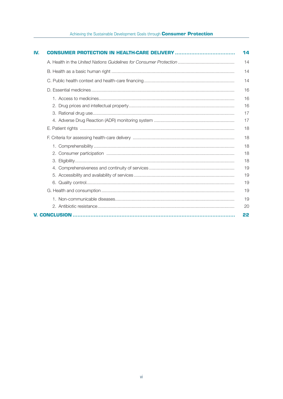#### Achieving the Sustainable Development Goals through Consumer Protection

| IV. |  |                                                    |  |
|-----|--|----------------------------------------------------|--|
|     |  | 14                                                 |  |
|     |  |                                                    |  |
|     |  |                                                    |  |
|     |  | 16                                                 |  |
|     |  | 16<br>16<br>17<br>17<br>18                         |  |
|     |  | 18                                                 |  |
|     |  | 18<br>18<br>18<br>19<br>19<br>19<br>19<br>19<br>20 |  |
|     |  | 22                                                 |  |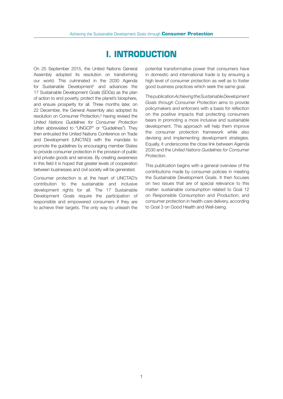## **I. INTRODUCTION**

On 25 September 2015, the United Nations General Assembly adopted its resolution on transforming our world. This culminated in the 2030 Agenda for Sustainable Development<sup>1</sup> and advances the 17 Sustainable Development Goals (SDGs) as the plan of action to end poverty, protect the planet's biosphere, and ensure prosperity for all. Three months later, on 22 December, the General Assembly also adopted its resolution on Consumer Protection,² having revised the *United Nations Guidelines for Consumer Protection*  (often abbreviated to "UNGCP" or "Guidelines"). They then entrusted the United Nations Conference on Trade and Development (UNCTAD) with the mandate to promote the guidelines by encouraging member States to provide consumer protection in the provision of public and private goods and services. By creating awareness in this field it is hoped that greater levels of cooperation between businesses and civil society will be generated.

Consumer protection is at the heart of UNCTAD's contribution to the sustainable and inclusive development rights for all. The 17 Sustainable Development Goals require the participation of responsible and empowered consumers if they are to achieve their targets. The only way to unleash the potential transformative power that consumers have in domestic and international trade is by ensuring a high level of consumer protection as well as to foster good business practices which seek the same goal.

The publication *Achieving the Sustainable Development Goals through Consumer Protection* aims to provide policymakers and enforcers with a basis for reflection on the positive impacts that protecting consumers bears in promoting a more inclusive and sustainable development. This approach will help them improve the consumer protection framework while also devising and implementing development strategies. Equally, it underscores the close link between Agenda 2030 and the *United Nations Guidelines for Consumer Protection*.

This publication begins with a general overview of the contributions made by consumer policies in meeting the Sustainable Development Goals. It then focuses on two issues that are of special relevance to this matter: sustainable consumption related to Goal 12 on Responsible Consumption and Production; and consumer protection in health-care delivery, according to Goal 3 on Good Health and Well-being.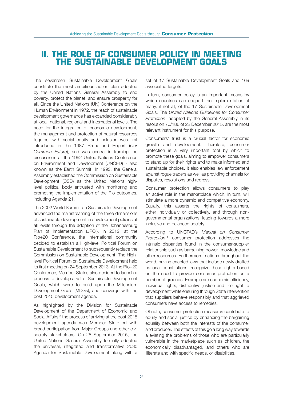## **II. THE ROLE OF CONSUMER POLICY IN MEETING THE SUSTAINABLE DEVELOPMENT GOALS**

The seventeen Sustainable Development Goals constitute the most ambitious action plan adopted by the United Nations General Assembly to end poverty, protect the planet, and ensure prosperity for all. Since the United Nations (UN) Conference on the Human Environment in 1972, the reach of sustainable development governance has expanded considerably at local, national, regional and international levels. The need for the integration of economic development, the management and protection of natural resources together with social equity and inclusion was first introduced in the 1987 Brundtland Report (*Our Common Future*), and was central in framing the discussions at the 1992 United Nations Conference on Environment and Development (UNCED) - also known as the Earth Summit. In 1993, the General Assembly established the Commission on Sustainable Development (CSD) as the United Nations highlevel political body entrusted with monitoring and promoting the implementation of the Rio outcomes, including Agenda 21.

The 2002 World Summit on Sustainable Development advanced the mainstreaming of the three dimensions of sustainable development in development policies at all levels through the adoption of the Johannesburg Plan of Implementation (JPOI). In 2012, at the Rio+20 Conference, the international community decided to establish a High-level Political Forum on Sustainable Development to subsequently replace the Commission on Sustainable Development. The Highlevel Political Forum on Sustainable Development held its first meeting on 24 September 2013. At the Rio+20 Conference, Member States also decided to launch a process to develop a set of Sustainable Development Goals, which were to build upon the Millennium Development Goals (MDGs), and converge with the post 2015 development agenda.

As highlighted by the Division for Sustainable Development of the Department of Economic and Social Affairs,<sup>3</sup> the process of arriving at the post 2015 development agenda was Member State-led with broad participation from Major Groups and other civil society stakeholders. On 25 September 2015, the United Nations General Assembly formally adopted the universal, integrated and transformative 2030 Agenda for Sustainable Development along with a

set of 17 Sustainable Development Goals and 169 associated targets.

In turn, consumer policy is an important means by which countries can support the implementation of many, if not all, of the 17 Sustainable Development Goals. The *United Nations Guidelines for Consumer Protection*, adopted by the General Assembly in its resolution 70/186 of 22 December 2015, are the most relevant instrument for this purpose.

Consumers' trust is a crucial factor for economic growth and development. Therefore, consumer protection is a very important tool by which to promote these goals, aiming to empower consumers to stand up for their rights and to make informed and sustainable choices. It also enables law enforcement against rogue traders as well as providing channels for disputes, resolutions and redress.

Consumer protection allows consumers to play an active role in the marketplace which, in turn, will stimulate a more dynamic and competitive economy. Equally, this asserts the rights of consumers, either individually or collectively, and through nongovernmental organizations, leading towards a more inclusive and balanced society.

According to UNCTAD's *Manual on Consumer Protection*, 4 consumer protection addresses the intrinsic disparities found in the consumer-supplier relationship such as bargaining power, knowledge and other resources. Furthermore, nations throughout the world, having enacted laws that include newly drafted national constitutions, recognize these rights based on the need to provide consumer protection on a number of grounds. Example are economic efficiency, individual rights, distributive justice and the right to development while ensuring through State intervention that suppliers behave responsibly and that aggrieved consumers have access to remedies.

Of note, consumer protection measures contribute to equity and social justice by enhancing the bargaining equality between both the interests of the consumer and producer. The effects of this go a long way towards alleviating the problems of those who are particularly vulnerable in the marketplace such as children, the economically disadvantaged, and others who are illiterate and with specific needs, or disabilities.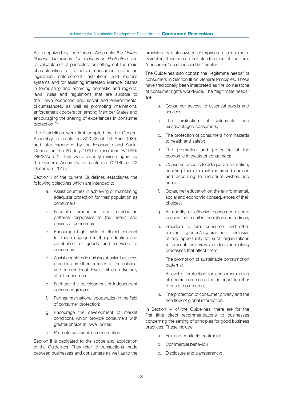As recognized by the General Assembly, *the United Nations Guidelines for Consumer Protection* are "a valuable set of principles for setting out the main characteristics of effective consumer protection legislation, enforcement institutions and redress systems and for assisting interested Member States in formulating and enforcing domestic and regional laws, rules and regulations that are suitable to their own economic and social and environmental circumstances, as well as promoting international enforcement cooperation among Member States and encouraging the sharing of experiences in consumer protection."<sup>5</sup>

The Guidelines were first adopted by the General Assembly in resolution 39/248 of 16 April 1985, and later expanded by the Economic and Social Council on the 26 July 1999 in resolution E/1999/ INF/2/Add.2. They were recently revised again by the General Assembly in resolution 70/186 of 22 December 2015.

Section I of the current Guidelines establishes the following objectives which are intended to:

- a. Assist countries in achieving or maintaining adequate protection for their population as consumers;
- b. Facilitate production and distribution patterns responsive to the needs and desires of consumers;
- c. Encourage high levels of ethical conduct for those engaged in the production and distribution of goods and services to consumers;
- d. Assist countries in curbing abusive business practices by all enterprises at the national and international levels which adversely affect consumers;
- e. Facilitate the development of independent consumer groups:
- f. Further international cooperation in the field of consumer protection;
- g. Encourage the development of market conditions which provide consumers with greater choice at lower prices;
- h. Promote sustainable consumption.

Section II is dedicated to the scope and application of the Guidelines. They refer to transactions made between businesses and consumers as well as to the provision by state-owned enterprises to consumers. Guideline 3 includes a flexible definition of the term "consumer," as discussed in Chapter I.

The Guidelines also contain the "legitimate needs" of consumers in Section III on General Principles. These have traditionally been interpreted as the cornerstone of consumer rights worldwide. The "legitimate needs" are:

- a. Consumer access to essential goods and services;
- b. The protection of vulnerable and disadvantaged consumers;
- c. The protection of consumers from hazards to health and safety;
- d. The promotion and protection of the economic interests of consumers;
- e. Consumer access to adequate information, enabling them to make informed choices and according to individual wishes and needs;
- f. Consumer education on the environmental, social and economic consequences of their choices;
- g. Availability of effective consumer dispute policies that result in resolution and redress;
- h. Freedom to form consumer and other relevant groups/organizations, inclusive of any opportunity for such organizations to present their views in decision-making processes that affect them;
- i. The promotion of sustainable consumption patterns;
- j. A level of protection for consumers using electronic commerce that is equal to other forms of commerce;
- k. The protection of consumer privacy and the free flow of global information.

In Section IV of the Guidelines, there are for the first time direct recommendations to businesses concerning the setting of principles for good business practices. These include:

- a. Fair and equitable treatment;
- b. Commercial behaviour;
- c. Disclosure and transparency;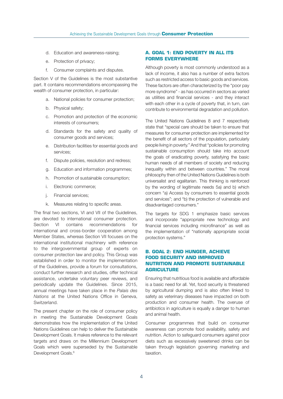- d. Education and awareness-raising;
- e. Protection of privacy;
- f. Consumer complaints and disputes.

Section V of the Guidelines is the most substantive part. It contains recommendations encompassing the wealth of consumer protection, in particular:

- a. National policies for consumer protection;
- b. Physical safety;
- c. Promotion and protection of the economic interests of consumers;
- d. Standards for the safety and quality of consumer goods and services;
- e. Distribution facilities for essential goods and services;
- f. Dispute policies, resolution and redress;
- g. Education and information programmes;
- h. Promotion of sustainable consumption;
- i. Electronic commerce;
- j. Financial services;
- k. Measures relating to specific areas.

The final two sections, VI and VII of the Guidelines, are devoted to international consumer protection. Section VI contains recommendations for international and cross-border cooperation among Member States, whereas Section VII focuses on the international institutional machinery with reference to the intergovernmental group of experts on consumer protection law and policy. This Group was established in order to monitor the implementation of the Guidelines, provide a forum for consultations, conduct further research and studies, offer technical assistance, undertake voluntary peer reviews, and periodically update the Guidelines. Since 2015, annual meetings have taken place in the *Palais des Nations* at the United Nations Office in Geneva, Switzerland.

The present chapter on the role of consumer policy in meeting the Sustainable Development Goals demonstrates how the implementation of the United Nations Guidelines can help to deliver the Sustainable Development Goals. It makes reference to the relevant targets and draws on the Millennium Development Goals which were superseded by the Sustainable Development Goals.<sup>6</sup>

#### **A. GOAL 1: END POVERTY IN ALL ITS FORMS EVERYWHERE**

Although poverty is most commonly understood as a lack of income, it also has a number of extra factors such as restricted access to basic goods and services. These factors are often characterized by the "poor pay more syndrome" - as has occurred in sectors as varied as utilities and financial services - and they interact with each other in a cycle of poverty that, in turn, can contribute to environmental degradation and pollution.

The United Nations Guidelines 8 and 7 respectively state that "special care should be taken to ensure that measures for consumer protection are implemented for the benefit of all sectors of the population, particularly people living in poverty." And that "policies for promoting sustainable consumption should take into account the goals of eradicating poverty, satisfying the basic human needs of all members of society and reducing inequality within and between countries." The moral philosophy then of the United Nations Guidelines is both universalist and egalitarian. This thinking is reinforced by the wording of legitimate needs 5a) and b) which concern "a) Access by consumers to essential goods and services"; and "b) the protection of vulnerable and disadvantaged consumers."

The targets for SDG 1 emphasize basic services and incorporate "appropriate new technology and financial services including microfinance" as well as the implementation of "nationally appropriate social protection systems."

#### **B. GOAL 2: END HUNGER, ACHIEVE FOOD SECURITY AND IMPROVED NUTRITION AND PROMOTE SUSTAINABLE AGRICULTURE**

Ensuring that nutritious food is available and affordable is a basic need for all. Yet, food security is threatened by agricultural dumping and is also often linked to safety as veterinary diseases have impacted on both production and consumer health. The overuse of antibiotics in agriculture is equally a danger to human and animal health.

Consumer programmes that build on consumer awareness can promote food availability, safety and nutrition. Action to safeguard consumers against poor diets such as excessively sweetened drinks can be taken through legislation governing marketing and taxation.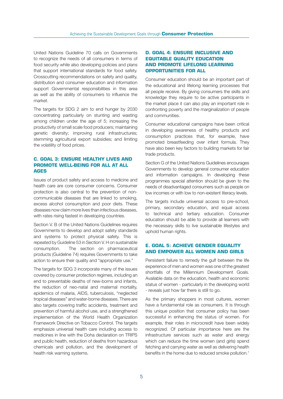United Nations Guideline 70 calls on Governments to recognize the needs of all consumers in terms of food security while also developing policies and plans that support international standards for food safety. Crosscutting recommendations on safety and quality, distribution and consumer education and information support Governmental responsibilities in this area as well as the ability of consumers to influence the market.

The targets for SDG 2 aim to end hunger by 2030 concentrating particularly on stunting and wasting among children under the age of 5; increasing the productivity of small scale food producers; maintaining genetic diversity; improving rural infrastructures; stemming agricultural export subsidies; and limiting the volatility of food prices.

#### **C. GOAL 3: ENSURE HEALTHY LIVES AND PROMOTE WELL-BEING FOR ALL AT ALL AGES**

Issues of product safety and access to medicine and health care are core consumer concerns. Consumer protection is also central to the prevention of noncommunicable diseases that are linked to smoking, excess alcohol consumption and poor diets. These diseases now claim more lives than infectious diseases, with rates rising fastest in developing countries.

Section V. B of the United Nations Guidelines requires Governments to develop and adopt safety standards and systems to protect physical safety. This is repeated by Guideline 53 in Section V. H on sustainable consumption. The section on pharmaceutical products (Guideline 74) requires Governments to take action to ensure their quality and "appropriate use."

The targets for SDG 3 incorporate many of the issues covered by consumer protection regimes, including an end to preventable deaths of new-borns and infants, the reduction of neo-natal and maternal mortality, epidemics of malaria, AIDS, tuberculosis, "neglected tropical diseases" and water-borne diseases. There are also targets covering traffic accidents, treatment and prevention of harmful alcohol use, and a strengthened implementation of the World Health Organization Framework Directive on Tobacco Control. The targets emphasize universal health care including access to medicines in line with the Doha declaration on TRIPS and public health, reduction of deaths from hazardous chemicals and pollution, and the development of health risk warning systems.

#### **D. GOAL 4: ENSURE INCLUSIVE AND EQUITABLE QUALITY EDUCATION AND PROMOTE LIFELONG LEARNING OPPORTUNITIES FOR ALL**

Consumer education should be an important part of the educational and lifelong learning processes that all people receive. By giving consumers the skills and knowledge they require to be active participants in the market place it can also play an important role in confronting poverty and the marginalization of people and communities.

Consumer educational campaigns have been critical in developing awareness of healthy products and consumption practices that, for example, have promoted breastfeeding over infant formula. They have also been key factors to building markets for fair trade products.

Section G of the United Nations Guidelines encourages Governments to develop general consumer education and information campaigns. In developing these programmes special attention should be given to the needs of disadvantaged consumers such as people on low incomes or with low to non-existent literacy levels.

The targets include universal access to pre-school, primary, secondary education, and equal access to technical and tertiary education. Consumer education should be able to provide all learners with the necessary skills to live sustainable lifestyles and uphold human rights.

#### **E. GOAL 5: ACHIEVE GENDER EQUALITY AND EMPOWER ALL WOMEN AND GIRLS**

Persistent failure to remedy the gulf between the life experience of men and women was one of the greatest shortfalls of the Millennium Development Goals. Available data on the education, health and economic status of women - particularly in the developing world - reveals just how far there is still to go.

As the primary shoppers in most cultures, women have a fundamental role as consumers. It is through this unique position that consumer policy has been successful in enhancing the status of women. For example, their roles in microcredit have been widely recognized. Of particular importance here are the infrastructure services such as water and energy which can reduce the time women (and girls) spend fetching and carrying water as well as delivering health benefits in the home due to reduced smoke pollution.<sup>7</sup>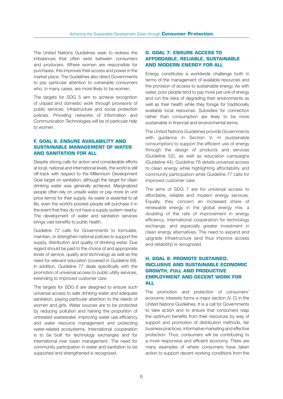The United Nations Guidelines seek to redress the imbalances that often exist between consumers and producers. Where women are responsible for purchases, this improves their access and power in the market place. The Guidelines also direct Governments to pay particular attention to vulnerable consumers who, in many cases, are more likely to be women.

The targets for SDG 5 aim to achieve recognition of unpaid and domestic work through provisions of public services, infrastructure and social protection policies. Providing networks of Information and Communication Technologies will be of particular help to women.

#### **F. GOAL 6: ENSURE AVAILABILITY AND SUSTAINABLE MANAGEMENT OF WATER AND SANITATION FOR ALL**

Despite strong calls for action and considerable efforts at local, national and international levels, the world is still off-track with respect to the Millennium Development Goal target on sanitation, although the target for clean drinking water was generally achieved. Marginalized people often rely on unsafe water or pay more (in unit price terms) for their supply. As water is essential to all life, even the world's poorest people will purchase it in the event that they do not have a supply system nearby. The development of water and sanitation services brings vast benefits to public health.

Guideline 72 calls for Governments to formulate, maintain, or strengthen national policies to support the supply, distribution and quality of drinking water. Due regard should be paid to the choice of and appropriate levels of service, quality and technology as well as the need for relevant education (covered in Guideline 69). In addition, Guideline 77 deals specifically with the promotion of universal access to public utility services, extending to improved customer care.

The targets for SDG 6 are designed to ensure such universal access to safe drinking water and adequate sanitation, paying particular attention to the needs of women and girls. Water sources are to be protected by reducing pollution and halving the proportion of untreated wastewater, improving water use efficiency and water resource management and protecting water-related ecosystems. International cooperation is to be built for technology exchanges and for international river basin management. The need for community participation in water and sanitation to be supported and strengthened is recognized.

#### **G. GOAL 7: ENSURE ACCESS TO AFFORDABLE, RELIABLE, SUSTAINABLE AND MODERN ENERGY FOR ALL**

Energy constitutes a worldwide challenge both in terms of the management of available resources and the provision of access to sustainable energy. As with water, poor people tend to pay more per unit of energy and run the risks of degrading their environments as well as their health while they forage for traditionally available local resources. Subsidies for connection rather than consumption are likely to be more sustainable in financial and environmental terms.

The United Nations Guidelines provide Governments with quidance in Section V. H (sustainable consumption) to support the efficient use of energy through the design of products and services (Guideline 52), as well as education campaigns (Guideline 44). Guideline 76 details universal access to clean energy while highlighting affordability and community participation while Guideline 77 calls for improved customer care.

The aims of SDG 7 are for universal access to affordable, reliable and modern energy services. Equally, they concern an increased share of renewable energy in the global energy mix, a doubling of the rate of improvement in energy efficiency, international cooperation for technology exchange, and especially greater investment in clean energy alternatives. The need to expand and upgrade infrastructure (and thus improve access and reliability) is recognized.

#### **H. GOAL 8: PROMOTE SUSTAINED, INCLUSIVE AND SUSTAINABLE ECONOMIC GROWTH, FULL AND PRODUCTIVE EMPLOYMENT AND DECENT WORK FOR ALL**

The promotion and protection of consumers' economic interests forms a major section (V. C) in the United Nations Guidelines. It is a call for Governments to take action and to ensure that consumers reap the optimum benefits from their resources by way of support and promotion of distribution methods, fair business practices, informative marketing and effective protection. Thus, consumers will be contributing to a more responsive and efficient economy. There are many examples of where consumers have taken action to support decent working conditions from the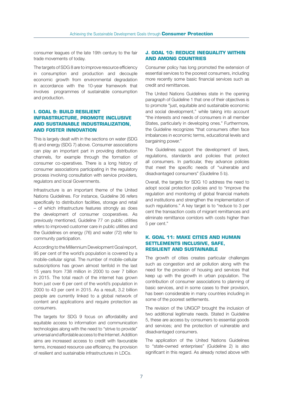consumer leagues of the late 19th century to the fair trade movements of today.

The targets of SDG 8 are to improve resource efficiency in consumption and production and decouple economic growth from environmental degradation in accordance with the 10-year framework that involves programmes of sustainable consumption and production.

#### **I. GOAL 9: BUILD RESILIENT INFRASTRUCTURE, PROMOTE INCLUSIVE AND SUSTAINABLE INDUSTRIALIZATION, AND FOSTER INNOVATION**

This is largely dealt with in the sections on water (SDG 6) and energy (SDG 7) above. Consumer associations can play an important part in providing distribution channels, for example through the formation of consumer co-operatives. There is a long history of consumer associations participating in the regulatory process involving consultation with service providers, regulators and local Governments.

Infrastructure is an important theme of the United Nations Guidelines. For instance, Guideline 36 refers specifically to distribution facilities, storage and retail – of which infrastructure features strongly as does the development of consumer cooperatives. As previously mentioned, Guideline 77 on public utilities refers to improved customer care in public utilities and the Guidelines on energy (76) and water (72) refer to community participation.

According to the Millennium Development Goal report, 95 per cent of the world's population is covered by a mobile-cellular signal. The number of mobile-cellular subscriptions has grown almost tenfold in the last 15 years from 738 million in 2000 to over 7 billion in 2015. The total reach of the internet has grown from just over 6 per cent of the world's population in 2000 to 43 per cent in 2015. As a result, 3.2 billion people are currently linked to a global network of content and applications and require protection as consumers.

The targets for SDG 9 focus on affordability and equitable access to information and communication technologies along with the need to "strive to provide" universal and affordable access to the Internet. Addition aims are increased access to credit with favourable terms, increased resource use efficiency, the provision of resilient and sustainable infrastructures in LDCs.

#### **J. GOAL 10: REDUCE INEQUALITY WITHIN AND AMONG COUNTRIES**

Consumer policy has long promoted the extension of essential services to the poorest consumers, including more recently some basic financial services such as credit and remittances.

The United Nations Guidelines state in the opening paragraph of Guideline 1 that one of their objectives is to promote "just, equitable and sustainable economic and social development," while taking into account "the interests and needs of consumers in all member States, particularly in developing ones." Furthermore, the Guideline recognizes "that consumers often face imbalances in economic terms, educational levels and bargaining power."

The Guidelines support the development of laws, regulations, standards and policies that protect all consumers. In particular, they advance policies that meet the specific needs of "vulnerable and disadvantaged consumers" (Guideline 5 b).

Overall, the targets for SDG 10 address the need to adopt social protection policies and to "improve the regulation and monitoring of global financial markets and institutions and strengthen the implementation of such regulations." A key target is to "reduce to 3 per cent the transaction costs of migrant remittances and eliminate remittance corridors with costs higher than 5 per cent."

#### **K. GOAL 11: MAKE CITIES AND HUMAN SETTLEMENTS INCLUSIVE, SAFE, RESILIENT AND SUSTAINABLE**

The growth of cities creates particular challenges such as congestion and air pollution along with the need for the provision of housing and services that keep up with the growth in urban population. The contribution of consumer associations to planning of basic services, and in some cases to their provision, has been considerable in many countries including in some of the poorest settlements.

The revision of the UNGCP brought the inclusion of two additional legitimate needs. Stated in Guideline 5, these are access by consumers to essential goods and services; and the protection of vulnerable and disadvantaged consumers.

The application of the United Nations Guidelines to "state-owned enterprises" (Guideline 2) is also significant in this regard. As already noted above with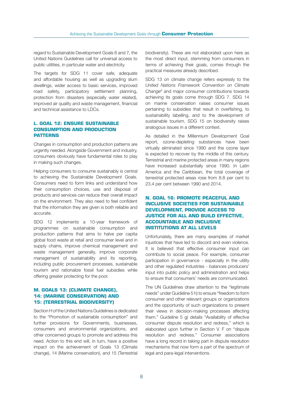regard to Sustainable Development Goals 6 and 7, the United Nations Guidelines call for universal access to public utilities, in particular water and electricity.

The targets for SDG 11 cover safe, adequate and affordable housing as well as upgrading slum dwellings, wider access to basic services, improved road safety, participatory settlement planning, protection from disasters (especially water related), improved air quality and waste management, financial and technical assistance to LDCs.

#### **L. GOAL 12: ENSURE SUSTAINABLE CONSUMPTION AND PRODUCTION PATTERNS**

Changes in consumption and production patterns are urgently needed. Alongside Government and industry, consumers obviously have fundamental roles to play in making such changes.

Helping consumers to consume sustainably is central to achieving the Sustainable Development Goals. Consumers need to form links and understand how their consumption choices, use and disposal of products and services can reduce their overall impact on the environment. They also need to feel confident that the information they are given is both reliable and accurate.

SDG 12 implements a 10-year framework of programmes on sustainable consumption and production patterns that aims to halve per capita global food waste at retail and consumer level and in supply chains, improve chemical management and waste management generally, improve corporate management of sustainability and its reporting, including public procurement processes, sustainable tourism and rationalize fossil fuel subsidies while offering greater protecting for the poor.

#### **M. GOALS 13: (CLIMATE CHANGE), 14: (MARINE CONSERVATION) AND 15: (TERRESTRIAL BIODIVERSITY)**

Section H of the United Nations Guidelines is dedicated to the "Promotion of sustainable consumption" and further provisions for Governments, businesses, consumers and environmental organizations, and other concerned groups to promote and address this need. Action to this end will, in turn, have a positive impact on the achievement of Goals 13 (Climate change), 14 (Marine conservation), and 15 (Terrestrial biodiversity). These are not elaborated upon here as the most direct input, stemming from consumers in terms of achieving their goals, comes through the practical measures already described.

SDG 13 on climate change refers expressly to the *United Nations Framework Convention on Climate Change*<sup>8</sup> and major consumer contributions towards achieving its goals come through SDG 7. SDG 14 on marine conservation raises consumer issues pertaining to subsidies that result in overfishing, to sustainability labelling, and to the development of sustainable tourism. SDG 15 on biodiversity raises analogous issues in a different context.

As detailed in the Millennium Development Goal report, ozone-depleting substances have been virtually eliminated since 1990 and the ozone layer is expected to recover by the middle of this century. Terrestrial and marine protected areas in many regions have increased substantially since 1990. In Latin America and the Caribbean, the total coverage of terrestrial protected areas rose from 8.8 per cent to 23.4 per cent between 1990 and 2014.

#### **N. GOAL 16: PROMOTE PEACEFUL AND INCLUSIVE SOCIETIES FOR SUSTAINABLE DEVELOPMENT, PROVIDE ACCESS TO JUSTICE FOR ALL AND BUILD EFFECTIVE, ACCOUNTABLE AND INCLUSIVE INSTITUTIONS AT ALL LEVELS**

Unfortunately, there are many examples of market injustices that have led to discord and even violence. It is believed that effective consumer input can contribute to social peace. For example, consumer participation in governance - especially in the utility and other regulated industries - balances producers' input into public policy and administration and helps to ensure that consumers' needs are communicated.

The UN Guidelines draw attention to the "legitimate needs" under Guideline 5 h) to ensure "freedom to form consumer and other relevant groups or organizations and the opportunity of such organizations to present their views in decision-making processes affecting them." Guideline 5 g) details "Availability of effective consumer dispute resolution and redress," which is elaborated upon further in Section V. F on "dispute resolution and redress." Consumer associations have a long record in taking part in dispute resolution mechanisms that now form a part of the spectrum of legal and para-legal interventions.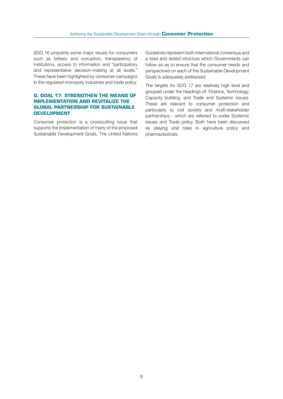SDG 16 pinpoints some major issues for consumers such as bribery and corruption, transparency of institutions, access to information and "participatory and representative decision–making at all levels." These have been highlighted by consumer campaigns in the regulated monopoly industries and trade policy.

#### **O. GOAL 17: STRENGTHEN THE MEANS OF IMPLEMENTATION AND REVITALIZE THE GLOBAL PARTNERSHIP FOR SUSTAINABLE DEVELOPMENT**

Consumer protection is a crosscutting issue that supports the implementation of many of the proposed Sustainable Development Goals. The United Nations Guidelines represent both international consensus and a tried and tested structure which Governments can follow so as to ensure that the consumer needs and perspectives on each of the Sustainable Development Goals is adequately addressed.

The targets for SDG 17 are relatively high level and grouped under the headings of: Finance, Technology, Capacity building, and Trade and Systemic issues. These are relevant to consumer protection and particularly to civil society and multi-stakeholder partnerships - which are referred to under Systemic issues and Trade policy. Both have been discussed as playing vital roles in agriculture policy and pharmaceuticals.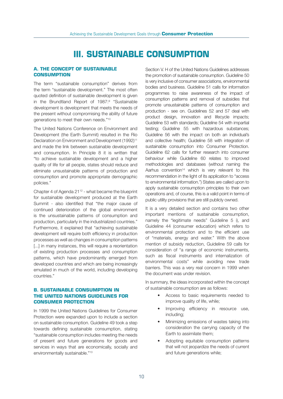## **III. SUSTAINABLE CONSUMPTION**

#### **A. THE CONCEPT OF SUSTAINABLE CONSUMPTION**

The term "sustainable consumption" derives from the term "sustainable development." The most often quoted definition of sustainable development is given in the Brundtland Report of 1987:<sup>9</sup> "Sustainable development is development that meets the needs of the present without compromising the ability of future generations to meet their own needs."<sup>10</sup>

The United Nations Conference on Environment and Development (the Earth Summit) resulted in the Rio Declaration on Environment and Development (1992)<sup>11</sup> and made the link between sustainable development and consumption. In Principle 8 it is written that "to achieve sustainable development and a higher quality of life for all people, states should reduce and eliminate unsustainable patterns of production and consumption and promote appropriate demographic policies."

Chapter 4 of Agenda 2112 - what became the blueprint for sustainable development produced at the Earth Summit - also identified that "the major cause of continued deterioration of the global environment is the unsustainable patterns of consumption and production, particularly in the industrialized countries." Furthermore, it explained that "achieving sustainable development will require both efficiency in production processes as well as changes in consumption patterns [...] in many instances, this will require a reorientation of existing production processes and consumption patterns, which have predominantly emerged from developed countries and which are being increasingly emulated in much of the world, including developing countries."

#### **B. SUSTAINABLE CONSUMPTION IN THE UNITED NATIONS GUIDELINES FOR CONSUMER PROTECTION**

In 1999 the United Nations Guidelines for Consumer Protection were expanded upon to include a section on sustainable consumption. Guideline 49 took a step towards defining sustainable consumption, stating "sustainable consumption includes meeting the needs of present and future generations for goods and services in ways that are economically, socially and environmentally sustainable."<sup>13</sup>

Section V. H of the United Nations Guidelines addresses the promotion of sustainable consumption. Guideline 50 is very inclusive of consumer associations, environmental bodies and business. Guideline 51 calls for information programmes to raise awareness of the impact of consumption patterns and removal of subsidies that promote unsustainable patterns of consumption and production - see on. Guidelines 52 and 57 deal with product design, innovation and lifecycle impacts; Guideline 53 with standards; Guideline 54 with impartial testing; Guideline 55 with hazardous substances; Guideline 56 with the impact on both an individual's and collective health; Guideline 58 with integration of sustainable consumption into Consumer Protection. Guideline 62 calls for further research into consumer behaviour while Guideline 60 relates to improved methodologies and databases (without naming the Aarhus convention<sup>14</sup> which is very relevant to this recommendation in the light of its application to "access to environmental information.") States are called upon to apply sustainable consumption principles to their own operations and, of course, this is a valid point in terms of public utility provisions that are still publicly owned.

It is a very detailed section and contains two other important mentions of sustainable consumption, namely the "legitimate needs" Guideline 5 i), and Guideline 44 (consumer education) which refers to environmental protection and to the efficient use of "materials, energy and water." With the above mention of subsidy reduction, Guideline 59 calls for consideration of "a range of economic instruments, such as fiscal instruments and internalization of environmental costs" while avoiding new trade barriers. This was a very real concern in 1999 when the document was under revision.

In summary, the ideas incorporated within the concept of sustainable consumption are as follows:

- Access to basic requirements needed to improve quality of life, while;
- Improving efficiency in resource use, including;
- Minimizing emissions of wastes taking into consideration the carrying capacity of the Earth to assimilate them;
- Adopting equitable consumption patterns that will not jeopardize the needs of current and future generations while;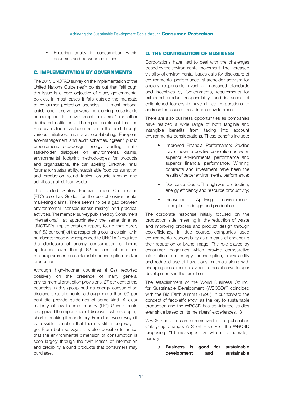• Ensuring equity in consumption within countries and between countries.

#### **C. IMPLEMENTATION BY GOVERNMENTS**

The 2013 UNCTAD survey on the implementation of the United Nations Guidelines<sup>15</sup> points out that "although this issue is a core objective of many governmental policies, in most cases it falls outside the mandate of consumer protection agencies […] most national legislations reserve powers concerning sustainable consumption for environment ministries" (or other dedicated institutions). The report points out that the European Union has been active in this field through various initiatives, inter alia: eco-labelling, European eco-management and audit schemes, "green" public procurement, eco-design, energy labelling, multistakeholder dialogues on environmental claims, environmental footprint methodologies for products and organizations, the car labelling Directive, retail forums for sustainability, sustainable food consumption and production round tables, organic farming and activities against food waste.

The United States Federal Trade Commission (FTC) also has Guides for the use of environmental marketing claims. There seems to be a gap between environmental "consciousness raising" and practical activities. The member survey published by Consumers International<sup>16</sup> at approximately the same time as UNCTAD's Implementation report, found that barely half (53 per cent) of the responding countries (similar in number to those who responded to UNCTAD) required the disclosure of energy consumption of home appliances, even though 62 per cent of countries ran programmes on sustainable consumption and/or production.

Although high-income countries (HICs) reported positively on the presence of many general environmental protection provisions, 27 per cent of the countries in this group had no energy consumption disclosure requirements, although more than 90 per cent did provide guidelines of some kind. A clear majority of low-income country (LIC) Governments recognized the importance of disclosure while stopping short of making it mandatory. From the two surveys it is possible to notice that there is still a long way to go. From both surveys, it is also possible to notice that the environmental dimension of consumption is seen largely through the twin lenses of information and credibility around products that consumers may purchase.

#### **D. THE CONTRIBUTION OF BUSINESS**

Corporations have had to deal with the challenges posed by the environmental movement. The increased visibility of environmental issues calls for disclosure of environmental performance, shareholder activism for socially responsible investing, increased standards and incentives by Governments, requirements for extended product responsibility, and instances of enlightened leadership have all led corporations to address the issue of sustainable development.

There are also business opportunities as companies have realized a wide range of both tangible and intangible benefits from taking into account environmental considerations. These benefits include:

- Improved Financial Performance: Studies have shown a positive correlation between superior environmental performance and superior financial performance. Winning contracts and investment have been the results of better environmental performance;
- Decreased Costs: Through waste reduction, energy efficiency and resource productivity;
- Innovation: Applying environmental principles to design and production.

The corporate response initially focused on the production side, meaning in the reduction of waste and improving process and product design through eco-efficiency. In due course, companies used environmental responsibility as a means of enhancing their reputation or brand image. The role played by consumer magazines which provide comparative information on energy consumption, recyclability and reduced use of hazardous materials along with changing consumer behaviour, no doubt serve to spur developments in this direction.

The establishment of the World Business Council for Sustainable Development (WBCSD)<sup>17</sup> coincided with the Rio Earth summit (1992). It put forward the concept of "eco-efficiency" as the key to sustainable production and the WBCSD has contributed studies ever since based on its members' experiences.18

WBCSD positions are summarized in the publication Catalyzing Change: A Short History of the WBCSD proposing "10 messages by which to operate," namely:

> a. Business is good for sustainable development and sustainable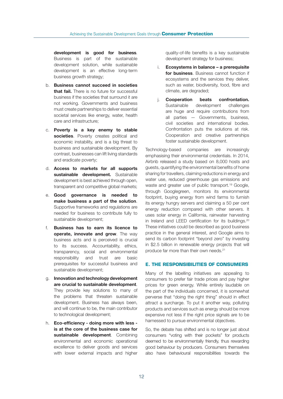development is good for business. Business is part of the sustainable development solution, while sustainable development is an effective long-term business growth strategy;

- b. Business cannot succeed in societies that fail. There is no future for successful business if the societies that surround it are not working. Governments and business must create partnerships to deliver essential societal services like energy, water, health care and infrastructure;
- c. Poverty is a key enemy to stable societies. Poverty creates political and economic instability, and is a big threat to business and sustainable development. By contrast, businesses can lift living standards and eradicate poverty;
- d. Access to markets for all supports sustainable development. Sustainable development is best achieved through open, transparent and competitive global markets;
- e. Good governance is needed to make business a part of the solution. Supportive frameworks and regulations are needed for business to contribute fully to sustainable development;
- f. Business has to earn its licence to operate, innovate and grow. The way business acts and is perceived is crucial to its success. Accountability, ethics, transparency, social and environmental responsibility and trust are basic prerequisites for successful business and sustainable development;
- g. Innovation and technology development are crucial to sustainable development. They provide key solutions to many of the problems that threaten sustainable development. Business has always been, and will continue to be, the main contributor to technological development;
- h. Eco-efficiency doing more with less is at the core of the business case for sustainable development. Combining environmental and economic operational excellence to deliver goods and services with lower external impacts and higher

quality-of-life benefits is a key sustainable development strategy for business;

- i. Ecosystems in balance a prerequisite for business. Business cannot function if ecosystems and the services they deliver, such as water, biodiversity, food, fibre and climate, are degraded;
- j. Cooperation beats confrontation. Sustainable development challenges are huge and require contributions from all parties — Governments, business, civil societies and international bodies. Confrontation puts the solutions at risk. Cooperation and creative partnerships foster sustainable development.

Technology-based companies are increasingly emphasising their environmental credentials. In 2014, Airbnb released a study based on 8,000 hosts and guests, quantifying the environmental benefits of home sharing for travellers, claiming reductions in energy and water use, reduced greenhouse gas emissions and waste and greater use of public transport.<sup>19</sup> Google, through Googlegreen, monitors its environmental footprint, buying energy from wind farms to furnish its energy hungry servers and claiming a 50 per cent energy reduction compared with other servers. It uses solar energy in California, rainwater harvesting in Ireland and LEED certification for its buildings.<sup>20</sup> These initiatives could be described as good business practice in the general interest, and Google aims to send its carbon footprint "beyond zero" by investing in \$2.5 billion in renewable energy projects that will produce far more than their own needs.21

#### **E. THE RESPONSIBILITIES OF CONSUMERS**

Many of the labelling initiatives are appealing to consumers to prefer fair trade prices and pay higher prices for green energy. While entirely laudable on the part of the individuals concerned, it is somewhat perverse that "doing the right thing" should in effect attract a surcharge. To put it another way, polluting products and services such as energy should be more expensive not less if the right price signals are to be harnessed to pursue environmental objectives.

So, the debate has shifted and is no longer just about consumers "voting with their pockets" for products deemed to be environmentally friendly, thus rewarding good behaviour by producers. Consumers themselves also have behavioural responsibilities towards the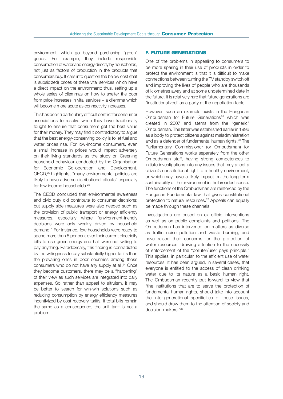environment, which go beyond purchasing "green" goods. For example, they include responsible consumption of water and energy directly by households, not just as factors of production in the products that consumers buy. It calls into question the below cost (that is subsidized) prices of these vital services which have a direct impact on the environment; thus, setting up a whole series of dilemmas on how to shelter the poor from price increases in vital services – a dilemma which will become more acute as connectivity increases.

This has been a particularly difficult conflict for consumer associations to resolve when they have traditionally fought to ensure that consumers get the best value for their money. They may find it contradictory to argue that the best energy-conserving policy is to let fuel and water prices rise. For low-income consumers, even a small increase in prices would impact adversely on their living standards as the study on Greening household behaviour conducted by the Organisation for Economic Co-operation and Development, OECD,<sup>22</sup> highlights, "many environmental policies are likely to have adverse distributional effects" especially for low income households.<sup>23</sup>

The OECD concluded that environmental awareness and civic duty did contribute to consumer decisions; but supply side measures were also needed such as the provision of public transport or energy efficiency measures, especially where "environment-friendly decisions were only weakly driven by household demand." For instance, few households were ready to spend more than 5 per cent over their current electricity bills to use green energy and half were not willing to pay anything. Paradoxically, this finding is contradicted by the willingness to pay substantially higher tariffs than the prevailing ones in poor countries among those consumers who do not have any supply at all.<sup>24</sup> Once they become customers, there may be a "hardening" of their view as such services are integrated into daily expenses. So rather than appeal to altruism, it may be better to search for win-win solutions such as reducing consumption by energy efficiency measures incentivized by cost recovery tariffs. If total bills remain the same as a consequence, the unit tariff is not a problem.

#### **F. FUTURE GENERATIONS**

One of the problems in appealing to consumers to be more sparing in their use of products in order to protect the environment is that it is difficult to make connections between turning the TV standby switch off and improving the lives of people who are thousands of kilometres away and at some undetermined date in the future. It is relatively rare that future generations are "institutionalized" as a party at the negotiation table.

However, such an example exists in the Hungarian Ombudsman for Future Generations<sup>25</sup> which was created in 2007 and stems from the "generic" Ombudsman. The latter was established earlier in 1996 as a body to protect citizens against maladministration and as a defender of fundamental human rights.26 The Parliamentary Commissioner (or Ombudsman) for Future Generations works separately from the other Ombudsman staff, having strong competences to initiate investigations into any issues that may affect a citizen's constitutional right to a healthy environment, or which may have a likely impact on the long-term sustainability of the environment in the broadest sense. The functions of the Ombudsman are reinforced by the Hungarian Fundamental law that gives constitutional protection to natural resources.27 Appeals can equally be made through these channels.

Investigations are based on ex officio interventions as well as on public complaints and petitions. The Ombudsman has intervened on matters as diverse as traffic noise pollution and waste burning, and have raised their concerns for the protection of water resources, drawing attention to the necessity of enforcement of the "polluter/user pays principle." This applies, in particular, to the efficient use of water resources. It has been argued, in several cases, that everyone is entitled to the access of clean drinking water due to its nature as a basic human right. The Ombudsman recently put forward its view that "the institutions that are to serve the protection of fundamental human rights, should take into account the inter-generational specificities of these issues, and should draw them to the attention of society and decision-makers."28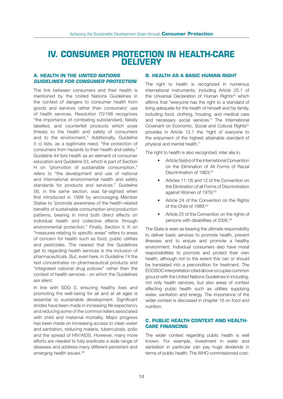### **IV. CONSUMER PROTECTION IN HEALTH-CARE DELIVERY**

#### **A. HEALTH IN THE** *UNITED NATIONS GUIDELINES FOR CONSUMER PROTECTION*

The link between consumers and their health is mentioned by the United Nations Guidelines in the context of dangers to consumer health from goods and services rather than consumers' use of health services. Resolution 70/186 recognizes "the importance of combating substandard, falsely labelled, and counterfeit products which pose threats to the health and safety of consumers and to the environment." Additionally, Guideline 5 c) lists, as a legitimate need, "the protection of consumers from hazards to their health and safety." Guideline 44 lists health as an element of consumer education and Guideline 53, which is part of Section H on "promotion of sustainable consumption," refers to "the development and use of national and international environmental health and safety standards for products and services." Guideline 56, in the same section, was far-sighted when first introduced in 1999 by encouraging Member States to "promote awareness of the health-related benefits of sustainable consumption and production patterns, bearing in mind both direct effects on individual health and collective effects through environmental protection." Finally, Section V. K on "measures relating to specific areas" refers to areas of concern for health such as food, public utilities and pesticides. The nearest that the Guidelines get to regarding health services is the inclusion of pharmaceuticals. But, even here, in Guideline 74 the text concentrates on pharmaceutical products and "integrated national drug policies" rather than the context of health services - on which the Guidelines are silent.

In line with SDG 3, ensuring healthy lives and promoting the well-being for all and at all ages is essential to sustainable development. Significant strides have been made in increasing life expectancy and reducing some of the common killers associated with child and maternal mortality. Major progress has been made on increasing access to clean water and sanitation, reducing malaria, tuberculosis, polio and the spread of HIV/AIDS. However, many more efforts are needed to fully eradicate a wide range of diseases and address many different persistent and emerging health issues.<sup>29</sup>

#### **B. HEALTH AS A BASIC HUMAN RIGHT**

The right to health is recognized in numerous international instruments, including Article 25.1 of the Universal Declaration of Human Rights<sup>30</sup> which affirms that "everyone has the right to a standard of living adequate for the health of himself and his family, including food, clothing, housing, and medical care and necessary social services." The International Covenant on Economic, Social and Cultural Rights<sup>31</sup> provides in Article 12.1 the "right of everyone to the enjoyment of the highest attainable standard of physical and mental health."

The right to health is also recognized, inter alia in:

- Article 5(e)(iv) of the International Convention on the Elimination of All Forms of Racial Discrimination of 1963;<sup>32</sup>
- Articles 11.1(f) and 12 of the Convention on the Elimination of all Forms of Discrimination against Women of 1979;<sup>33</sup>
- Article 24 of the Convention on the Rights of the Child of 1989;<sup>34</sup>
- Article 25 of the Convention on the rights of persons with disabilities of 2006.<sup>35</sup>

The State is seen as bearing the ultimate responsibility to deliver basic services to promote health, prevent illnesses and to ensure and promote a healthy environment. Individual consumers also have moral responsibilities to promote and protect their own health, although not to the extent this can or should be translated into a precondition for treatment. The ECOSOC interpretation cited above occupies common ground with the United Nations Guidelines in including, not only health services, but also areas of context affecting public health such as utilities supplying water, sanitation and energy. The importance of the wider context is discussed in chapter 16 on food and nutrition.

#### **C. PUBLIC HEALTH CONTEXT AND HEALTH-CARE FINANCING**

The wider context regarding public health is well known. For example, investment in water and sanitation in particular can pay huge dividends in terms of public health. The WHO commissioned cost-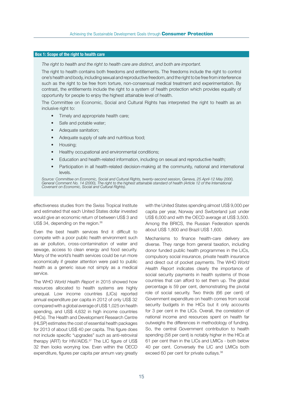#### Box 1: Scope of the right to health care

*The right to health and the right to health care are distinct, and both are important.* 

The right to health contains both freedoms and entitlements. The freedoms include the right to control one's health and body, including sexual and reproductive freedom, and the right to be free from interference such as the right to be free from torture, non-consensual medical treatment and experimentation. By contrast, the entitlements include the right to a system of health protection which provides equality of opportunity for people to enjoy the highest attainable level of health.

The Committee on Economic, Social and Cultural Rights has interpreted the right to health as an inclusive right to:

- Timely and appropriate health care;
- Safe and potable water;
- Adequate sanitation;
- Adequate supply of safe and nutritious food;
- Housing;
- Healthy occupational and environmental conditions;
- Education and health-related information, including on sexual and reproductive health;
- Participation in all health-related decision-making at the community, national and international levels.

*Source: Committee on Economic, Social and Cultural Rights, twenty-second session, Geneva, 25 April-12 May 2000, General Comment No. 14 (2000), The right to the highest attainable standard of health (Article 12 of the International Covenant on Economic, Social and Cultural Rights).*

effectiveness studies from the Swiss Tropical Institute and estimated that each United States dollar invested would give an economic return of between US\$ 3 and US\$ 34, depending on the region.<sup>36</sup>

Even the best health services find it difficult to compete with a poor public health environment such as air pollution, cross-contamination of water and sewage, access to clean energy and food security. Many of the world's health services could be run more economically if greater attention were paid to public health as a generic issue not simply as a medical service.

The WHO *World Health Report* in 2015 showed how resources allocated to health systems are highly unequal. Low income countries (LICs) reported annual expenditure per capita in 2012 of only US\$ 32 compared with a global average of US\$ 1,025 on health spending, and US\$ 4,632 in high income countries (HICs). The Health and Development Research Centre (HLSP) estimates the cost of essential health packages for 2013 of about US\$ 40 per capita. This figure does not include specific "upgrades" such as anti-retroviral therapy (ART) for HIV/AIDS.<sup>37</sup> The LIC figure of US\$ 32 then looks worrying low. Even within the OECD expenditure, figures per capita per annum vary greatly with the United States spending almost US\$ 9,000 per capita per year, Norway and Switzerland just under US\$ 6,000 and with the OECD average at US\$ 3,500. Among the BRICS, the Russian Federation spends about US\$ 1,800 and Brazil US\$ 1,600.

Mechanisms to finance health-care delivery are diverse. They range from general taxation, including donor funded public health programmes in the LICs, compulsory social insurance, private health insurance and direct out of pocket payments. The WHO *World Health Report* indicates clearly the importance of social security payments in health systems of those countries that can afford to set them up. The global percentage is 59 per cent, demonstrating the pivotal role of social security. Two thirds (66 per cent) of Government expenditure on health comes from social security budgets in the HICs but it only accounts for 3 per cent in the LICs. Overall, the correlation of national income and resources spent on health far outweighs the differences in methodology of funding. So, the central Government contribution to health spending (58 per cent) is notably higher in the HICs at 61 per cent than in the LICs and LMICs - both below 40 per cent. Conversely the LIC and LMICs both exceed 60 per cent for private outlays.<sup>38</sup>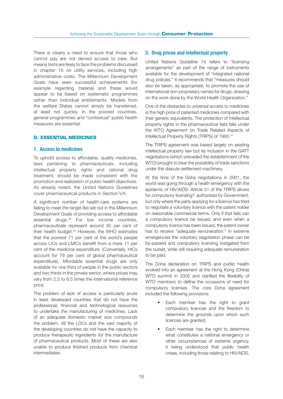There is clearly a need to ensure that those who cannot pay are not denied access to care. But means tests are likely to face the problems discussed in chapter 15 on utility services, including high administrative costs. The Millennium Development Goals have seen successful achievements (for example regarding malaria) and these would appear to be based on systematic programmes rather than individual entitlements. Models from the welfare States cannot simply be transferred, at least not quickly. In the poorest countries, general programmes and "contextual" public health measures are essential.

#### **D. ESSENTIAL MEDICINES**

#### 1. Access to medicines

To uphold access to affordable, quality medicines, laws pertaining to pharmaceuticals, including intellectual property rights and rational drug treatment, should be made consistent with the promotion and realization of public health objectives. As already noted, the United Nations Guidelines cover pharmaceutical products in Section V.K.

A significant number of health-care systems are failing to meet the target 8e) set out in the Millennium Development Goals of providing access to affordable essential drugs.39 For low income countries, pharmaceuticals represent around 30 per cent of their health budget.40 However, the WHO estimates that the poorest 71 per cent of the world's people across LICs and LMICs benefit from a mere 11 per cent of the medicine expenditure. (Conversely, HICs account for 79 per cent of global pharmaceutical expenditure). Affordable essential drugs are only available for one third of people in the public sectors and two thirds in the private sector, where prices may vary from 2.5 to 6.5 times the international reference price.

The problem of lack of access is particularly acute in least developed countries that do not have the professional, financial and technological resources to undertake the manufacturing of medicines. Lack of an adequate domestic market size compounds the problem. All the LDCs and the vast majority of the developing countries do not have the capacity to produce therapeutic ingredients for the manufacture of pharmaceutical products. Most of these are also unable to produce finished products from chemical intermediates.

#### 2. Drug prices and intellectual property

United Nations Guideline 74 refers to "licensing arrangements" as part of the range of instruments available for the development of "integrated national drug policies." It recommends that "measures should also be taken, as appropriate, to promote the use of international non-proprietary names for drugs, drawing on the work done by the World Health Organization."

One of the obstacles to universal access to medicines is the high price of patented medicines compared with their generic equivalents. The protection of intellectual property rights in the pharmaceutical field falls under the WTO Agreement on Trade Related Aspects of Intellectual Property Rights (TRIPS) of 1995.<sup>41</sup>

The TRIPS agreement was based largely on existing intellectual property law but its inclusion in the GATT negotiations (which preceded the establishment of the WTO) brought to bear the possibility of trade sanctions under the dispute settlement machinery.

At the time of the Doha negotiations in 2001, the world was going through a health emergency with the epidemic of HIV/AIDS. Article 31 of the TRIPS allows for compulsory licensing<sup>42</sup> authorized by Government, but only where the party applying for a licence has tried to negotiate a voluntary licence with the patent holder on reasonable commercial terms. Only if that fails can a compulsory licence be issued, and even when a compulsory licence has been issued, the patent owner has to receive "adequate remuneration." In extreme emergencies the voluntary negotiation phase can be by-passed and compulsory licensing instigated from the outset, while still requiring adequate remuneration to be paid.

The Doha declaration on TRIPS and public health evolved into an agreement at the Hong Kong (China) WTO summit in 2005 and clarified the flexibility of WTO members to define the occasions of need for compulsory licenses. The core Doha agreement included the following provisions:

- Each member has the right to grant compulsory licences and the freedom to determine the grounds upon which such licences are granted:
- Each member has the right to determine what constitutes a national emergency or other circumstances of extreme urgency, it being understood that public health crises, including those relating to HIV/AIDS,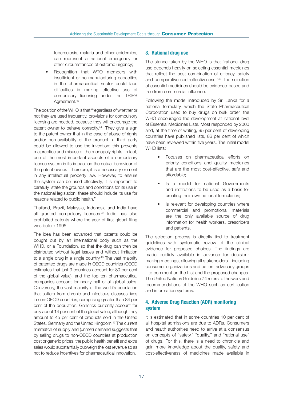tuberculosis, malaria and other epidemics, can represent a national emergency or other circumstances of extreme urgency;

Recognition that WTO members with insufficient or no manufacturing capacities in the pharmaceutical sector could face difficulties in making effective use of compulsory licensing under the TRIPS Agreement.<sup>43</sup>

The position of the WHO is that "regardless of whether or not they are used frequently, provisions for compulsory licensing are needed, because they will encourage the patent owner to behave correctly.<sup>44</sup> They give a sign to the patent owner that in the case of abuse of rights and/or non-availability of the product, a third party could be allowed to use the invention; this prevents malpractice and misuse of the monopoly rights. In fact, one of the most important aspects of a compulsory license system is its impact on the actual behaviour of the patent owner. Therefore, it is a necessary element in any intellectual property law. However, to ensure the system can be used effectively, it is important to carefully state the grounds and conditions for its use in the national legislation; these should include its use for reasons related to public health."

Thailand, Brazil, Malaysia, Indonesia and India have all granted compulsory licenses.45 India has also prohibited patents where the year of first global filing was before 1995.

The idea has been advanced that patents could be bought out by an international body such as the WHO, or a Foundation, so that the drug can then be distributed without legal issues and without limitation to a single drug in a single country.<sup>46</sup> The vast majority of patented drugs are made in OECD countries (OECD estimates that just 9 countries account for 80 per cent of the global value), and the top ten pharmaceutical companies account for nearly half of all global sales. Conversely, the vast majority of the world's population that suffers from chronic and infectious diseases lives in non-OECD countries, comprising greater than 84 per cent of the population. Generics currently account for only about 14 per cent of the global value, although they amount to 45 per cent of products sold in the United States, Germany and the United Kingdom.47 The current mismatch of supply and (unmet) demand suggests that by selling drugs to non-OECD countries at production cost or generic prices, the public health benefit and extra sales would substantially outweigh the lost revenue so as not to reduce incentives for pharmaceutical innovation.

#### 3. Rational drug use

The stance taken by the WHO is that "rational drug use depends heavily on selecting essential medicines that reflect the best combination of efficacy, safety and comparative cost-effectiveness."48 The selection of essential medicines should be evidence-based and free from commercial influence.

Following the model introduced by Sri Lanka for a national formulary, which the State Pharmaceutical Corporation used to buy drugs on bulk order, the WHO encouraged the development at national level of Essential Medicines Lists. Most responded by 2000 and, at the time of writing, 95 per cent of developing countries have published lists, 86 per cent of which have been reviewed within five years. The initial model WHO lists:

- Focuses on pharmaceutical efforts on priority conditions and quality medicines that are the most cost-effective, safe and affordable;
- Is a model for national Governments and institutions to be used as a basis for creating their own national formularies;
- Is relevant for developing countries where commercial and promotional materials are the only available source of drug information for health workers, prescribers and patients.

The selection process is directly tied to treatment guidelines with systematic review of the clinical evidence for proposed choices. The findings are made publicly available in advance for decisionmaking meetings, allowing all stakeholders - including consumer organizations and patient advocacy groups - to comment on the List and the proposed changes. The United Nations Guideline 74 refers to the work and recommendations of the WHO such as certification and information systems.

#### 4. Adverse Drug Reaction (ADR) monitoring system

It is estimated that in some countries 10 per cent of all hospital admissions are due to ADRs. Consumers and health authorities need to arrive at a consensus on concepts of "safety," "quality," and "rational use" of drugs. For this, there is a need to chronicle and gain more knowledge about the quality, safety and cost-effectiveness of medicines made available in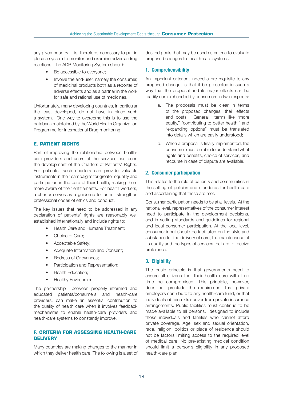any given country. It is, therefore, necessary to put in place a system to monitor and examine adverse drug reactions. The ADR Monitoring System should:

- Be accessible to everyone;
- Involve the end-user, namely the consumer, of medicinal products both as a reporter of adverse effects and as a partner in the work for safe and rational use of medicines.

Unfortunately, many developing countries, in particular the least developed, do not have in place such a system. One way to overcome this is to use the databank maintained by the World Health Organization Programme for International Drug monitoring.

#### **E. PATIENT RIGHTS**

Part of improving the relationship between healthcare providers and users of the services has been the development of the Charters of Patients' Rights. For patients, such charters can provide valuable instruments in their campaigns for greater equality and participation in the care of their health, making them more aware of their entitlements. For health workers, a charter serves as a guideline to further strengthen professional codes of ethics and conduct.

The key issues that need to be addressed in any declaration of patients' rights are reasonably well established internationally and include rights to:

- Health Care and Humane Treatment;
- Choice of Care:
- Acceptable Safety;
- Adequate Information and Consent;
- Redress of Grievances:
- Participation and Representation;
- Health Education;
- Healthy Environment.

The partnership between properly informed and educated patients/consumers and health-care providers, can make an essential contribution to the quality of health care when it involves feedback mechanisms to enable health-care providers and health-care systems to constantly improve.

#### **F. CRITERIA FOR ASSESSING HEALTH-CARE DELIVERY**

Many countries are making changes to the manner in which they deliver health care. The following is a set of desired goals that may be used as criteria to evaluate proposed changes to health-care systems.

#### 1. Comprehensibility

An important criterion, indeed a pre-requisite to any proposed change, is that it be presented in such a way that the proposal and its major effects can be readily comprehended by consumers in two respects:

- a. The proposals must be clear in terms of the proposed changes, their effects and costs. General terms like "more equity," "contributing to better health," and "expanding options" must be translated into details which are easily understood;
- b. When a proposal is finally implemented, the consumer must be able to understand what rights and benefits, choice of services, and recourse in case of dispute are available.

#### 2. Consumer participation

This relates to the role of patients and communities in the setting of policies and standards for health care and ascertaining that these are met.

Consumer participation needs to be at all levels. At the national level, representatives of the consumer interest need to participate in the development decisions, and in setting standards and guidelines for regional and local consumer participation. At the local level, consumer input should be facilitated on the style and substance for the delivery of care, the maintenance of its quality and the types of services that are to receive preference.

#### 3. Eligibility

The basic principle is that governments need to assure all citizens that their health care will at no time be compromised. This principle, however, does not preclude the requirement that private employers contribute to any health-care fund, or that individuals obtain extra-cover from private insurance arrangements. Public facilities must continue to be made available to all persons, designed to include those individuals and families who cannot afford private coverage. Age, sex and sexual orientation, race, religion, politics or place of residence should not be factors limiting access to the required level of medical care. No pre-existing medical condition should limit a person's eligibility in any proposed health-care plan.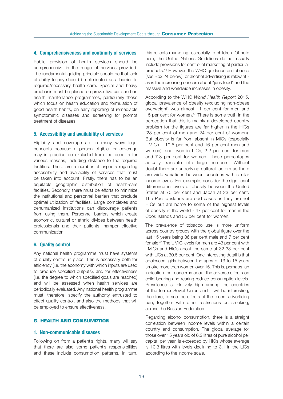#### 4. Comprehensiveness and continuity of services

Public provision of health services should be comprehensive in the range of services provided. The fundamental guiding principle should be that lack of ability to pay should be eliminated as a barrier to required/necessary health care. Special and heavy emphasis must be placed on preventive care and on health maintenance programmes, particularly those which focus on health education and formulation of good health habits, on early reporting of remediable symptomatic diseases and screening for prompt treatment of diseases.

#### 5. Accessibility and availability of services

Eligibility and coverage are in many ways legal concepts because a person eligible for coverage may in practice be excluded from the benefits for various reasons, including distance to the required facilities. There are a number of aspects regarding accessibility and availability of services that must be taken into account. Firstly, there has to be an equitable geographic distribution of health-care facilities. Secondly, there must be efforts to minimize the institutional and personnel barriers that preclude optimal utilization of facilities. Large complexes and dehumanized institutions can discourage patients from using them. Personnel barriers which create economic, cultural or ethnic divides between health professionals and their patients, hamper effective communication.

#### 6. Quality control

Any national health programme must have systems of quality control in place. This is necessary both for efficiency (i.e. the economy with which inputs are used to produce specified outputs), and for effectiveness (i.e. the degree to which specified goals are reached) and will be assessed when health services are periodically evaluated. Any national health programme must, therefore, specify the authority entrusted to effect quality control, and also the methods that will be employed to ensure effectiveness.

#### **G. HEALTH AND CONSUMPTION**

#### 1. Non-communicable diseases

Following on from a patient's rights, many will say that there are also some patient's responsibilities and these include consumption patterns. In turn,

this reflects marketing, especially to children. Of note here, the United Nations Guidelines do not usually include provisions for control of marketing of particular products.49 However, the WHO guidance on tobacco (see Box 24 below), or alcohol advertising is relevant as is the increasing concern about "junk food" and the massive and worldwide increases in obesity.

According to the WHO *World Health Report* 2015, global prevalence of obesity (excluding non-obese overweight) was almost 11 per cent for men and 15 per cent for women.50 There is some truth in the perception that this is mainly a developed country problem for the figures are far higher in the HICs (23 per cent of men and 24 per cent of women). But obesity is far from absent in MICs (especially UMICs – 10.5 per cent and 16 per cent men and women), and even in LICs, 2.2 per cent for men and 7.3 per cent for women. These percentages actually translate into large numbers. Without doubt there are underlying cultural factors as there are wide variations between countries with similar income levels. For example, consider the significant difference in levels of obesity between the United States at 70 per cent and Japan at 23 per cent. The Pacific islands are odd cases as they are not HICs but are home to some of the highest levels of obesity in the world - 47 per cent for men in the Cook Islands and 55 per cent for women.

The prevalence of tobacco use is more uniform across country groups with the global figure over the last 15 years being 36 per cent male and 7 per cent female.51 The UMIC levels for men are 43 per cent with LMICs and HICs about the same at 32-33 per cent with LICs at 30.5 per cent. One interesting detail is that adolescent girls between the ages of 13 to 15 years smoke more than women over 15. This is, perhaps, an indication that concerns about the adverse effects on child-bearing and rearing reduce consumption levels. Prevalence is relatively high among the countries of the former Soviet Union and it will be interesting, therefore, to see the effects of the recent advertising ban, together with other restrictions on smoking, across the Russian Federation.

Regarding alcohol consumption, there is a straight correlation between income levels within a certain country and consumption. The global average for those over 15 years old of 6.2 litres of pure alcohol per capita, per year, is exceeded by HICs whose average is 10.3 litres with levels declining to 3.1 in the LICs according to the income scale.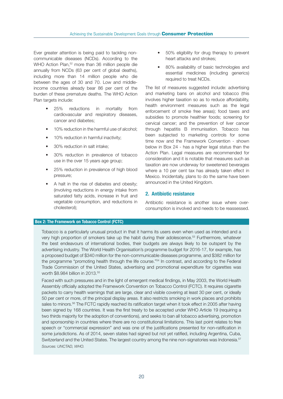Ever greater attention is being paid to tackling noncommunicable diseases (NCDs). According to the WHO Action Plan,<sup>52</sup> more than 36 million people die annually from NCDs (63 per cent of global deaths), including more than 14 million people who die between the ages of 30 and 70. Low and middleincome countries already bear 86 per cent of the burden of these premature deaths. The WHO Action Plan targets include:

- 25% reductions in mortality from cardiovascular and respiratory diseases, cancer and diabetes;
- 10% reduction in the harmful use of alcohol;
- 10% reduction in harmful inactivity;
- 30% reduction in salt intake;
- 30% reduction in prevalence of tobacco use in the over 15 years age group;
- 25% reduction in prevalence of high blood pressure;
- A halt in the rise of diabetes and obesity; (involving reductions in energy intake from saturated fatty acids, increase in fruit and vegetable consumption, and reductions in cholesterol);
- 50% eligibility for drug therapy to prevent heart attacks and strokes;
- 80% availability of basic technologies and essential medicines (including generics) required to treat NCDs.

The list of measures suggested include: advertising and marketing bans on alcohol and tobacco (this involves higher taxation so as to reduce affordability, health environment measures such as the legal enforcement of smoke free areas); food taxes and subsidies to promote healthier foods; screening for cervical cancer; and the prevention of liver cancer through hepatitis B immunisation. Tobacco has been subjected to marketing controls for some time now and the Framework Convention - shown below in Box 24 - has a higher legal status than the Action Plan. Legal measures are recommended for consideration and it is notable that measures such as taxation are now underway for sweetened beverages where a 10 per cent tax has already taken effect in Mexico. Incidentally, plans to do the same have been announced in the United Kingdom.

#### 2. Antibiotic resistance

Antibiotic resistance is another issue where overconsumption is involved and needs to be reassessed.

#### Box 2: The Framework on Tobacco Control (FCTC)

Tobacco is a particularly unusual product in that it harms its users even when used as intended and a very high proportion of smokers take up the habit during their adolescence.<sup>53</sup> Furthermore, whatever the best endeavours of international bodies, their budgets are always likely to be outspent by the advertising industry. The World Health Organisation's programme budget for 2016-17, for example, has a proposed budget of \$340 million for the non-communicable diseases programme, and \$382 million for the programme "promoting health through the life course."54 In contrast, and according to the Federal Trade Commission of the United States, advertising and promotional expenditure for cigarettes was worth \$8.984 billion in 2013.<sup>55</sup>

Faced with such pressures and in the light of emergent medical findings, in May 2003, the World Health Assembly officially adopted the Framework Convention on Tobacco Control (FCTC). It requires cigarette packets to carry health warnings that are large, clear and visible covering at least 30 per cent, or ideally 50 per cent or more, of the principal display areas. It also restricts smoking in work places and prohibits sales to minors.<sup>56</sup> The FCTC rapidly reached its ratification target when it took effect in 2005 after having been signed by 168 countries. It was the first treaty to be accepted under WHO Article 19 (requiring a two thirds majority for the adoption of conventions), and seeks to ban all tobacco advertising, promotion and sponsorship in countries where there are no constitutional limitations. This last point relates to free speech or "commercial expression" and was one of the justifications presented for non-ratification in some jurisdictions. As of 2014, seven states had signed but not yet ratified, including Argentina, Cuba, Switzerland and the United States. The largest country among the nine non-signatories was Indonesia.<sup>57</sup> *Sources: UNCTAD, WHO.*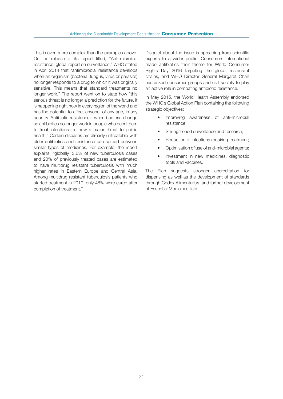This is even more complex than the examples above. On the release of its report titled, "Anti-microbial resistance: global report on surveillance," WHO stated in April 2014 that "antimicrobial resistance develops when an organism (bacteria, fungus, virus or parasite) no longer responds to a drug to which it was originally sensitive. This means that standard treatments no longer work." The report went on to state how "this serious threat is no longer a prediction for the future, it is happening right now in every region of the world and has the potential to affect anyone, of any age, in any country. Antibiotic resistance—when bacteria change so antibiotics no longer work in people who need them to treat infections—is now a major threat to public health." Certain diseases are already untreatable with older antibiotics and resistance can spread between similar types of medicines. For example, the report explains, "globally, 3.6% of new tuberculosis cases and 20% of previously treated cases are estimated to have multidrug resistant tuberculosis with much higher rates in Eastern Europe and Central Asia. Among multidrug resistant tuberculosis patients who started treatment in 2010, only 48% were cured after completion of treatment."

Disquiet about the issue is spreading from scientific experts to a wider public. Consumers International made antibiotics their theme for World Consumer Rights Day 2016 targeting the global restaurant chains, and WHO Director General Margaret Chan has asked consumer groups and civil society to play an active role in combating antibiotic resistance.

In May 2015, the World Health Assembly endorsed the WHO's Global Action Plan containing the following strategic objectives:

- Improving awareness of anti-microbial resistance;
- Strengthened surveillance and research;
- Reduction of infections requiring treatment;
- Optimisation of use of anti-microbial agents;
- Investment in new medicines, diagnostic tools and vaccines.

The Plan suggests stronger accreditation for dispensing as well as the development of standards through Codex Alimentarius, and further development of Essential Medicines lists.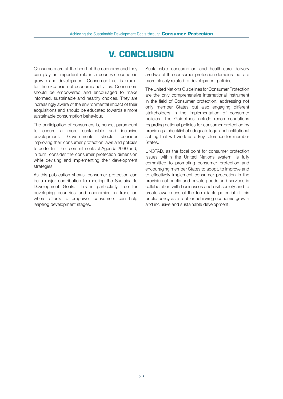## **V. CONCLUSION**

Consumers are at the heart of the economy and they can play an important role in a country's economic growth and development. Consumer trust is crucial for the expansion of economic activities. Consumers should be empowered and encouraged to make informed, sustainable and healthy choices. They are increasingly aware of the environmental impact of their acquisitions and should be educated towards a more sustainable consumption behaviour.

The participation of consumers is, hence, paramount to ensure a more sustainable and inclusive development. Governments should consider improving their consumer protection laws and policies to better fulfil their commitments of Agenda 2030 and, in turn, consider the consumer protection dimension while devising and implementing their development strategies.

As this publication shows, consumer protection can be a major contribution to meeting the Sustainable Development Goals. This is particularly true for developing countries and economies in transition where efforts to empower consumers can help leapfrog development stages.

Sustainable consumption and health-care delivery are two of the consumer protection domains that are more closely related to development policies.

The United Nations Guidelines for Consumer Protection are the only comprehensive international instrument in the field of Consumer protection, addressing not only member States but also engaging different stakeholders in the implementation of consumer policies. The Guidelines include recommendations regarding national policies for consumer protection by providing a checklist of adequate legal and institutional setting that will work as a key reference for member States.

UNCTAD, as the focal point for consumer protection issues within the United Nations system, is fully committed to promoting consumer protection and encouraging member States to adopt, to improve and to effectively implement consumer protection in the provision of public and private goods and services in collaboration with businesses and civil society and to create awareness of the formidable potential of this public policy as a tool for achieving economic growth and inclusive and sustainable development.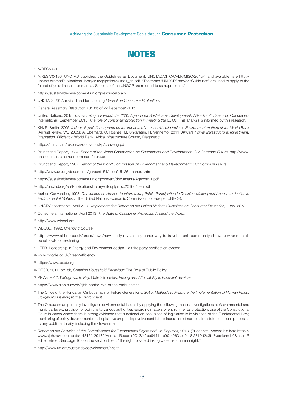

- 1. A/RES/70/1.
- 2. A/RES/70/186. UNCTAD published the Guidelines as Document: UNCTAD/DITC/CPLP/MISC/2016/1 and available here http:// unctad.org/en/PublicationsLibrary/ditccplpmisc2016d1\_en.pdf. "The terms "UNGCP" and/or "Guidelines" are used to apply to the full set of guidelines in this manual. Sections of the UNGCP are referred to as appropriate."
- 3. https://sustainabledevelopment.un.org/resourcelibrary.
- 4. UNCTAD, 2017, revised and forthcoming *Manual on Consumer Protection*.
- 5. General Assembly Resolution 70/186 of 22 December 2015.
- 6. United Nations, 2015, *Transforming our world: the 2030 Agenda for Sustainable Development. A/RES/70/1*. See also Consumers International, September 2015, *The role of consumer protection in meeting the SDGs.* This analysis is informed by this research.
- 7. Kirk R. Smith*,* 2005, *Indoor air pollution: update on the impacts of household solid fuels*. In *Environment matters at the World Bank*  (Annual review, WB 2005); A. Eberhard, O. Rosnes, M. Shkaratan, H. Vennemo, 2011, *Africa's Power Infrastructure: Investment,*  Integration, Efficiency (World Bank, Africa Infrastructure Country Diagnostic).
- 8. https://unfccc.int/resource/docs/convkp/conveng.pdf
- 9. Brundtland Report, 1987, *Report of the World Commission on Environment and Development: Our Common Future*, http://www. un-documents.net/our-common-future.pdf
- 10. Brundtland Report, 1987, *Report of the World Commission on Environment and Development: Our Common Future*.
- 11. http://www.un.org/documents/ga/conf151/aconf15126-1annex1.htm
- 12. https://sustainabledevelopment.un.org/content/documents/Agenda21.pdf
- 13. http://unctad.org/en/PublicationsLibrary/ditccplpmisc2016d1\_en.pdf
- 14. Aarhus Convention, 1998, *Convention on Access to Information, Public Participation in Decision-Making and Access to Justice in Environmental Matters,* (The United Nations Economic Commission for Europe, UNECE).
- 15. UNCTAD secretariat, April 2013, *Implementation Report on the United Nations Guidelines on Consumer Protection, 1985–2013.*
- 16. Consumers International, April 2013, *The State of Consumer Protection Around the World*.
- 17. http://www.wbcsd.org
- 18. WBCSD, 1992, *Changing Course.*
- 19. https://www.airbnb.co.uk/press/news/new-study-reveals-a-greener-way-to-travel-airbnb-community-shows-environmentalbenefits-of-home-sharing
- 20. LEED- Leadership in Energy and Environment design a third party certification system.
- 21. www.google.co.uk/green/efficiency.
- 22. https://www.oecd.org
- 23. OECD, 2011, op. cit, *Greening Household Behaviour:* The Role of Public Policy*.*
- 24. PPIAF, 2012, *Willingness to Pay,* Note 9 in series: *Pricing and Affordability in Essential Services*.
- 25. https://www.ajbh.hu/web/ajbh-en/the-role-of-the-ombudsman
- 26. The Office of the Hungarian Ombudsman for Future Generations, 2015, *Methods to Promote the Implementation of Human Rights Obligations Relating to the Environment.*
- 27. The Ombudsman primarily investigates environmental issues by applying the following means: investigations at Governmental and municipal levels; provision of opinions to various authorities regarding matters of environmental protection; use of the Constitutional Court in cases where there is strong evidence that a national or local piece of legislation is in violation of the Fundamental Law; monitoring of policy developments and legislative proposals; involvement in the elaboration of non-binding statements and proposals to any public authority, including the Government.
- *28. Report on the Activities of the Commissioner for Fundamental Rights and His Deputies*, 2013, (Budapest). Accessible here https:// www.ajbh.hu/documents/14315/129172/Annual+Report+2013/42bc9441-1e90-4963-ad01-8f2819d2c3bf?version=1.0&inheritR edirect=true. See page 109 on the section titled, "The right to safe drinking water as a human right."
- 29. http://www.un.org/sustainabledevelopment/health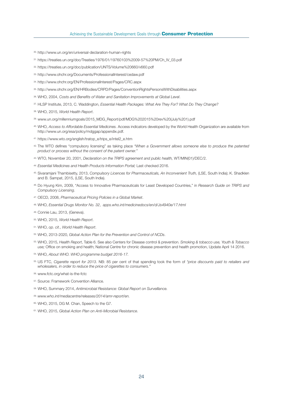- 30. http://www.un.org/en/universal-declaration-human-rights
- 31. https://treaties.un.org/doc/Treaties/1976/01/19760103%2009-57%20PM/Ch\_IV\_03.pdf
- 32. https://treaties.un.org/doc/publication/UNTS/Volume%20660/v660.pdf
- 33. http://www.ohchr.org/Documents/ProfessionalInterest/cedaw.pdf
- 34. http://www.ohchr.org/EN/ProfessionalInterest/Pages/CRC.aspx
- 35. http://www.ohchr.org/EN/HRBodies/CRPD/Pages/ConventionRightsPersonsWithDisabilities.aspx
- 36. WHO, 2004, Costs and Benefits of Water and Sanitation Improvements at Global Level.
- 37. HLSP Institute, 2013, C. Waddington, *Essential Health Packages: What Are They For? What Do They Change?*
- 38. WHO, 2015, *World Health Report*.
- 39. www.un.org/millenniumgoals/2015\_MDG\_Report/pdf/MDG%202015%20rev%20(July%201).pdf
- 40. WHO, *Access to Affordable Essential Medicines.* Access indicators developed by the World Health Organization are available from http://www.un.org/esa/policy/mdggap/appendix.pdf.
- 41. https://www.wto.org/english/tratop\_e/trips\_e/intel2\_e.htm
- 42. The WTO defines "compulsory licensing" as taking place *"When a Government allows someone else to produce the patented product or process without the consent of the patent owner."*
- 43. WTO, November 20, 2001, *Declaration on the TRIPS agreement and public health,* WT/MIN(01)/DEC/2.
- *44. Essential Medicines and Health Products Information Portal;* Last checked 2016.
- 45. Sivaramjani Thambisetty, 2013, Compulsory Licences for Pharmaceuticals, An Inconvenient Truth, (LSE, South India); K. Shadklen and B. Sampat, 2015, (LSE, South India).
- 46. Do Hyung Kim, 2009, "Access to Innovative Pharmaceuticals for Least Developed Countries," in *Research Guide on TRIPS and*  Compulsory Licensing.
- 47. OECD, 2008, *Pharmaceutical Pricing Policies in a Global Market*.
- 48. WHO, *Essential Drugs Monitor No. 32*, *apps.who.int/medicinedocs/en/d/Js4940e/17.html*
- 49. Connie Lau, 2013, (Geneva).
- 50. WHO, 2015, *World Health Report*.
- 51. WHO, *op. cit*., *World Health Report*.
- 52. WHO, 2013-2020, *Global Action Plan for the Prevention and Control of NCDs*.
- 53. WHO, 2015, *Health Report*, Table 6. See also Centers for Disease control & prevention. *Smoking & tobacco use, Youth & Tobacco use;* Office on smoking and health; National Centre for chronic disease prevention and health promotion, Update April 14 2016.
- 54. WHO, *About WHO. WHO programme budget 2016-17.*
- 55. US FTC, *Cigarette report for 2013*. NB: 85 per cent of that spending took the form of *"price discounts paid to retailers and wholesalers, in order to reduce the price of cigarettes to consumers."*
- 56. www.fctc.org/what-is-the-fctc
- 57. Source: Framework Convention Alliance.
- 58. WHO, Summary 2014, *Antimicrobial Resistance: Global Report on Surveillance.*
- *59. www.who.int/mediacentre/releases/2014/amr-report/en.*
- 60. WHO, 2015, DG M. Chan, Speech to the G7.
- 61. WHO, 2015, *Global Action Plan on Anti-Microbial Resistance*.